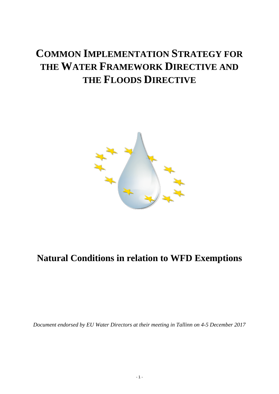# **COMMON IMPLEMENTATION STRATEGY FOR THE WATER FRAMEWORK DIRECTIVE AND THE FLOODS DIRECTIVE**



# **Natural Conditions in relation to WFD Exemptions**

*Document endorsed by EU Water Directors at their meeting in Tallinn on 4-5 December 2017*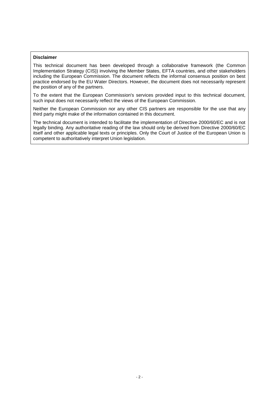#### **Disclaimer**

This technical document has been developed through a collaborative framework (the Common Implementation Strategy (CIS)) involving the Member States, EFTA countries, and other stakeholders including the European Commission. The document reflects the informal consensus position on best practice endorsed by the EU Water Directors. However, the document does not necessarily represent the position of any of the partners.

To the extent that the European Commission's services provided input to this technical document, such input does not necessarily reflect the views of the European Commission.

Neither the European Commission nor any other CIS partners are responsible for the use that any third party might make of the information contained in this document.

The technical document is intended to facilitate the implementation of Directive 2000/60/EC and is not legally binding. Any authoritative reading of the law should only be derived from Directive 2000/60/EC itself and other applicable legal texts or principles. Only the Court of Justice of the European Union is competent to authoritatively interpret Union legislation.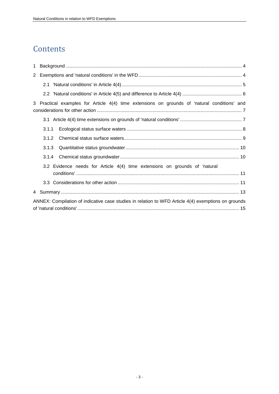# **Contents**

| $\mathbf{1}$          |                                                                                                     |  |  |  |  |
|-----------------------|-----------------------------------------------------------------------------------------------------|--|--|--|--|
| $\mathbf{2}^{\prime}$ |                                                                                                     |  |  |  |  |
|                       |                                                                                                     |  |  |  |  |
|                       |                                                                                                     |  |  |  |  |
|                       | 3 Practical examples for Article 4(4) time extensions on grounds of 'natural conditions' and        |  |  |  |  |
|                       |                                                                                                     |  |  |  |  |
|                       | 3.1.1                                                                                               |  |  |  |  |
|                       | 3.1.2                                                                                               |  |  |  |  |
|                       | 3.1.3                                                                                               |  |  |  |  |
|                       |                                                                                                     |  |  |  |  |
|                       | 3.2 Evidence needs for Article 4(4) time extensions on grounds of 'natural                          |  |  |  |  |
|                       |                                                                                                     |  |  |  |  |
|                       |                                                                                                     |  |  |  |  |
|                       | ANNEX: Compilation of indicative case studies in relation to WFD Article 4(4) exemptions on grounds |  |  |  |  |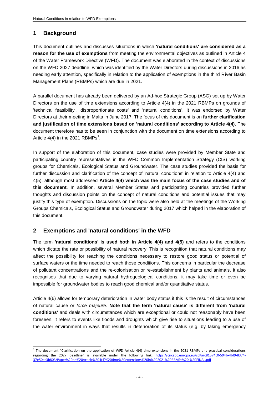## <span id="page-3-0"></span>**1 Background**

This document outlines and discusses situations in which **'natural conditions' are considered as a reason for the use of exemptions** from meeting the environmental objectives as outlined in Article 4 of the Water Framework Directive (WFD). The document was elaborated in the context of discussions on the WFD 2027 deadline, which was identified by the Water Directors during discussions in 2016 as needing early attention, specifically in relation to the application of exemptions in the third River Basin Management Plans (RBMPs) which are due in 2021.

A parallel document has already been delivered by an Ad-hoc Strategic Group (ASG) set up by Water Directors on the use of time extensions according to Article 4(4) in the 2021 RBMPs on grounds of 'technical feasibility', 'disproportionate costs' and 'natural conditions'. It was endorsed by Water Directors at their meeting in Malta in June 2017. The focus of this document is on **further clarification and justification of time extensions based on 'natural conditions' according to Article 4(4)**. The document therefore has to be seen in conjunction with the document on time extensions according to Article 4(4) in the 2021 RBMPs<sup>1</sup>.

In support of the elaboration of this document, case studies were provided by Member State and participating country representatives in the WFD Common Implementation Strategy (CIS) working groups for Chemicals, Ecological Status and Groundwater. The case studies provided the basis for further discussion and clarification of the concept of 'natural conditions' in relation to Article 4(4) and 4(5), although most addressed **Article 4(4) which was the main focus of the case studies and of this document**. In addition, several Member States and participating countries provided further thoughts and discussion points on the concept of natural conditions and potential issues that may justify this type of exemption. Discussions on the topic were also held at the meetings of the Working Groups Chemicals, Ecological Status and Groundwater during 2017 which helped in the elaboration of this document.

## <span id="page-3-1"></span>**2 Exemptions and 'natural conditions' in the WFD**

The term **'natural conditions' is used both in Article 4(4) and 4(5)** and refers to the conditions which dictate the rate or possibility of natural recovery. This is recognition that natural conditions may affect the possibility for reaching the conditions necessary to restore good status or potential of surface waters or the time needed to reach those conditions. This concerns in particular the decrease of pollutant concentrations and the re-colonisation or re-establishment by plants and animals. It also recognises that due to varying natural hydrogeological conditions, it may take time or even be impossible for groundwater bodies to reach good chemical and/or quantitative status.

Article 4(6) allows for temporary deterioration in water body status if this is the result of circumstances of natural cause or *force majeure*. **Note that the term 'natural cause' is different from 'natural conditions'** and deals with circumstances which are exceptional or could not reasonably have been foreseen. It refers to events like floods and droughts which give rise to situations leading to a use of the water environment in ways that results in deterioration of its status (e.g. by taking emergency

 1 The document "Clarification on the application of WFD Article 4(4) time extensions in the 2021 RBMPs and practical considerations regarding the 2027 deadline" is available under the following link: [https://circabc.europa.eu/sd/a/c81574c0-594b-4bf9-8374-](https://circabc.europa.eu/sd/a/c81574c0-594b-4bf9-8374-37e50ec3b803/Paper%20on%20Article%204(4)%20time%20extensions%20in%202021%20RBMPs%20-%20FINAL.pdf) [37e50ec3b803/Paper%20on%20Article%204\(4\)%20time%20extensions%20in%202021%20RBMPs%20-%20FINAL.pdf](https://circabc.europa.eu/sd/a/c81574c0-594b-4bf9-8374-37e50ec3b803/Paper%20on%20Article%204(4)%20time%20extensions%20in%202021%20RBMPs%20-%20FINAL.pdf)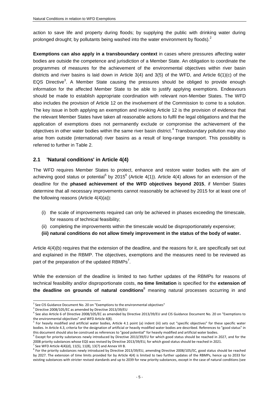action to save life and property during floods; by supplying the public with drinking water during prolonged drought; by pollutants being washed into the water environment by floods). $<sup>2</sup>$ </sup>

**Exemptions can also apply in a transboundary context** in cases where pressures affecting water bodies are outside the competence and jurisdiction of a Member State. An obligation to coordinate the programmes of measures for the achievement of the environmental objectives within river basin districts and river basins is laid down in Article 3(4) and 3(5) of the WFD, and Article 6(1)(c) of the EQS Directive<sup>3</sup>. A Member State causing the pressures should be obliged to provide enough information for the affected Member State to be able to justify applying exemptions. Endeavours should be made to establish appropriate coordination with relevant non-Member States. The WFD also includes the provision of Article 12 on the involvement of the Commission to come to a solution. The key issue in both applying an exemption and invoking Article 12 is the provision of evidence that the relevant Member States have taken all reasonable actions to fulfil the legal obligations and that the application of exemptions does not permanently exclude or compromise the achievement of the objectives in other water bodies within the same river basin district.<sup>4</sup> Transboundary pollution may also arise from outside (international) river basins as a result of long-range transport. This possibility is referred to further in Table 2.

#### <span id="page-4-0"></span>**2.1 'Natural conditions' in Article 4(4)**

The WFD requires Member States to protect, enhance and restore water bodies with the aim of achieving good status or potential<sup>5</sup> by 2015<sup>6</sup> (Article 4(1)). Article 4(4) allows for an extension of the deadline for the **phased achievement of the WFD objectives beyond 2015**, if Member States determine that all necessary improvements cannot reasonably be achieved by 2015 for at least one of the following reasons (Article 4(4)(a)):

- (i) the scale of improvements required can only be achieved in phases exceeding the timescale, for reasons of technical feasibility;
- (ii) completing the improvements within the timescale would be disproportionately expensive;
- **(iii) natural conditions do not allow timely improvement in the status of the body of water.**

Article 4(4)(b) requires that the extension of the deadline, and the reasons for it, are specifically set out and explained in the RBMP. The objectives, exemptions and the measures need to be reviewed as part of the preparation of the updated  $RBMPs^7$ .

While the extension of the deadline is limited to two further updates of the RBMPs for reasons of technical feasibility and/or disproportionate costs, **no time limitation** is specified for the **extension of the deadline on grounds of natural conditions**<sup>8</sup> meaning natural processes occurring in and

-

<sup>7</sup> See WFD Article 4(4)(d), 11(5), 11(8), 13(7) and Annex VII B.

 $2$  See CIS Guidance Document No. 20 on "Exemptions to the environmental objectives"

<sup>3</sup> Directive 2008/105/EC as amended by Directive 2013/39/EU

<sup>4</sup> See also Article 6 of Directive 2008/105/EC as amended by Directive 2013/39/EU and CIS Guidance Document No. 20 on "Exemptions to the environmental objectives" and WFD Article 4(8).

<sup>&</sup>lt;sup>5</sup> For heavily modified and artificial water bodies, Article 4.1 point (a) indent (iii) sets out "specific objectives" for these specific water bodies. In Article 4.3, criteria for the designation of artificial or heavily modified water bodies are described. References to "good status" in this document should also be construed as references to "good potential" for heavily modified and artificial water bodies.

<sup>&</sup>lt;sup>6</sup> Except for priority substances newly introduced by Directive 2013/39/EU for which good status should be reached in 2027, and for the 2008 priority substances whose EQS was revised by Directive 2013/39/EU, for which good status should be reached in 2021.

<sup>&</sup>lt;sup>8</sup> For the priority substances newly introduced by Directive 2013/39/EU, amending Directive 2008/105/EC, good status should be reached by 2027. The extension of time limits provided for by Article 4(4) is limited to two further updates of the RBMPs, hence up to 2033 for existing substances with stricter revised standards and up to 2039 for new priority substances, except in the case of natural conditions (see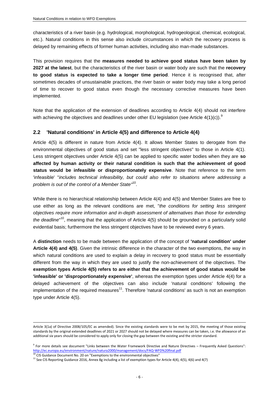characteristics of a river basin (e.g. hydrological, morphological, hydrogeological, chemical, ecological, etc.). Natural conditions in this sense also include circumstances in which the recovery process is delayed by remaining effects of former human activities, including also man-made substances.

This provision requires that the **measures needed to achieve good status have been taken by 2027 at the latest**, but the characteristics of the river basin or water body are such that the **recovery to good status is expected to take a longer time period**. Hence it is recognised that, after sometimes decades of unsustainable practices, the river basin or water body may take a long period of time to recover to good status even though the necessary corrective measures have been implemented.

Note that the application of the extension of deadlines according to Article 4(4) should not interfere with achieving the objectives and deadlines under other EU legislation (see Article 4(1)(c)).<sup>9</sup>

#### <span id="page-5-0"></span>**2.2 'Natural conditions' in Article 4(5) and difference to Article 4(4)**

Article 4(5) is different in nature from Article 4(4). It allows Member States to derogate from the environmental objectives of good status and set "less stringent objectives" to those in Article 4(1). Less stringent objectives under Article 4(5) can be applied to specific water bodies when they are **so affected by human activity or their natural condition is such that the achievement of good status would be infeasible or disproportionately expensive**. Note that reference to the term 'infeasible' "*includes technical infeasibility, but could also refer to situations where addressing a problem is out of the control of a Member State"* [10](#page-5-1) .

<span id="page-5-1"></span>While there is no hierarchical relationship between Article 4(4) and 4(5) and Member States are free to use either as long as the relevant conditions are met, "*the conditions for setting less stringent objectives require more information and in-depth assessment of alternatives than those for extending*  the deadline<sup>"10</sup>, meaning that the application of Article 4(5) should be grounded on a particularly solid evidential basis; furthermore the less stringent objectives have to be reviewed every 6 years.

A **distinction** needs to be made between the application of the concept of **'natural condition' under Article 4(4) and 4(5)**. Given the intrinsic difference in the character of the two exemptions, the way in which natural conditions are used to explain a delay in recovery to good status must be essentially different from the way in which they are used to justify the non-achievement of the objectives. The **exemption types Article 4(5) refers to are either that the achievement of good status would be 'infeasible' or 'disproportionately expensive'**, whereas the exemption types under Article 4(4) for a delayed achievement of the objectives can also include 'natural conditions' following the implementation of the required measures<sup>11</sup>. Therefore 'natural conditions' as such is not an exemption type under Article 4(5).

Article 3(1a) of Directive 2008/105/EC as amended). Since the existing standards were to be met by 2015, the meeting of those existing standards by the original extended deadlines of 2021 or 2027 should not be delayed where measures can be taken, i.e. the allowance of an additional six years should be considered to apply only for closing the gap between the existing and the stricter standard.

<sup>9</sup> For more details see document "Links between the Water Framework Directive and Nature Directives – Frequently Asked Questions": <http://ec.europa.eu/environment/nature/natura2000/management/docs/FAQ-WFD%20final.pdf>

 $10^0$  CIS Guidance Document No. 20 on "Exemptions to the environmental objectives"

 $11$  See CIS Reporting Guidance 2016, Annex 8g including a list of exemption types for Article 4(4), 4(5), 4(6) and 4(7)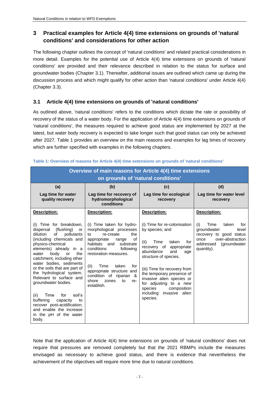# <span id="page-6-0"></span>**3 Practical examples for Article 4(4) time extensions on grounds of 'natural conditions' and considerations for other action**

The following chapter outlines the concept of 'natural conditions' and related practical considerations in more detail. Examples for the potential use of Article 4(4) time extensions on grounds of 'natural conditions' are provided and their relevance described in relation to the status for surface and groundwater bodies (Chapter [3.1\)](#page-6-1). Thereafter, additional issues are outlined which came up during the discussion process and which might qualify for other action than 'natural conditions' under Article 4(4) (Chapter [3.3\)](#page-10-1).

## <span id="page-6-1"></span>**3.1 Article 4(4) time extensions on grounds of 'natural conditions'**

As outlined above, 'natural conditions' refers to the conditions which dictate the rate or possibility of recovery of the status of a water body. For the application of Article 4(4) time extensions on grounds of 'natural conditions', the measures required to achieve good status are implemented by 2027 at the latest, but water body recovery is expected to take longer such that good status can only be achieved after 2027. [Table 1](#page-6-2) provides an overview on the main reasons and examples for lag times of recovery which are further specified with examples in the following chapters.

| Overview of main reasons for Article 4(4) time extensions<br>on grounds of 'natural conditions'                                                                                                                                                                                                                                                                                                                                                                                                                                       |                                                                                                                                                                                                                                                                                                                                    |                                                                                                                                                                                                                                                                                                                                                         |                                                                                                                                                       |  |  |  |  |
|---------------------------------------------------------------------------------------------------------------------------------------------------------------------------------------------------------------------------------------------------------------------------------------------------------------------------------------------------------------------------------------------------------------------------------------------------------------------------------------------------------------------------------------|------------------------------------------------------------------------------------------------------------------------------------------------------------------------------------------------------------------------------------------------------------------------------------------------------------------------------------|---------------------------------------------------------------------------------------------------------------------------------------------------------------------------------------------------------------------------------------------------------------------------------------------------------------------------------------------------------|-------------------------------------------------------------------------------------------------------------------------------------------------------|--|--|--|--|
| (a)<br>(b)                                                                                                                                                                                                                                                                                                                                                                                                                                                                                                                            |                                                                                                                                                                                                                                                                                                                                    | (c)                                                                                                                                                                                                                                                                                                                                                     | (d)                                                                                                                                                   |  |  |  |  |
| Lag time for water<br>quality recovery                                                                                                                                                                                                                                                                                                                                                                                                                                                                                                | Lag time for recovery of<br>hydromorphological<br>conditions                                                                                                                                                                                                                                                                       | Lag time for ecological<br>recovery                                                                                                                                                                                                                                                                                                                     | Lag time for water level<br>recovery                                                                                                                  |  |  |  |  |
| Description:                                                                                                                                                                                                                                                                                                                                                                                                                                                                                                                          | <u>Description:</u>                                                                                                                                                                                                                                                                                                                | Description:                                                                                                                                                                                                                                                                                                                                            | Description:                                                                                                                                          |  |  |  |  |
| (i) Time for breakdown,<br>(flushing)<br>dispersal<br>or<br>pollutants<br>dilution<br>of<br>(including chemicals and<br>physico-chemical<br>elements) already in a<br>body<br>the<br>water<br>or<br>catchment, including other<br>water bodies, sediments<br>or the soils that are part of<br>the hydrological system.<br>Relevant to surface and<br>groundwater bodies.<br>soil's<br>(ii)<br>for<br>Time<br>buffering<br>capacity<br>to<br>recover post-acidification;<br>and enable the increase<br>in the pH of the water<br>body. | (i) Time taken for hydro-<br>morphological processes<br>the<br>re-create<br>to<br>appropriate<br>of<br>range<br>habitats and<br>substrate<br>conditions<br>following<br>restoration measures.<br>Time<br>taken<br>(ii)<br>for<br>appropriate structure and<br>condition of riparian &<br>shore<br>zones<br>to<br>re-<br>establish. | (i) Time for re-colonisation<br>by species; and<br>(ii)<br>Time<br>taken<br>for<br>recovery of<br>appropriate<br>abundance<br>and<br>age<br>structure of species.<br>(iii) Time for recovery from<br>the temporary presence of<br>invasive alien species or<br>for adjusting to a new<br>composition<br>species<br>including invasive alien<br>species. | Time<br>taken<br>for<br>(i)<br>groundwater<br>level<br>recovery to good status<br>over-abstraction<br>once<br>addressed<br>(groundwater<br>quantity). |  |  |  |  |

#### <span id="page-6-2"></span>**Table 1: Overview of reasons for Article 4(4) time extensions on grounds of 'natural conditions'**

Note that the application of Article 4(4) time extensions on grounds of 'natural conditions' does not require that pressures are removed completely but that the 2021 RBMPs include the measures envisaged as necessary to achieve good status, and there is evidence that nevertheless the achievement of the objectives will require more time due to natural conditions.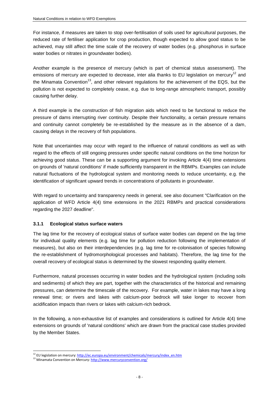For instance, if measures are taken to stop over-fertilisation of soils used for agricultural purposes, the reduced rate of fertiliser application for crop production, though expected to allow good status to be achieved, may still affect the time scale of the recovery of water bodies (e.g. phosphorus in surface water bodies or nitrates in groundwater bodies).

Another example is the presence of mercury (which is part of chemical status assessment). The emissions of mercury are expected to decrease, inter alia thanks to EU legislation on mercury<sup>12</sup> and the Minamata Convention<sup>13</sup>, and other relevant regulations for the achievement of the EQS, but the pollution is not expected to completely cease, e.g. due to long-range atmospheric transport, possibly causing further delay.

A third example is the construction of fish migration aids which need to be functional to reduce the pressure of dams interrupting river continuity. Despite their functionality, a certain pressure remains and continuity cannot completely be re-established by the measure as in the absence of a dam, causing delays in the recovery of fish populations.

Note that uncertainties may occur with regard to the influence of natural conditions as well as with regard to the effects of still ongoing pressures under specific natural conditions on the time horizon for achieving good status. These can be a supporting argument for invoking Article 4(4) time extensions on grounds of 'natural conditions' if made sufficiently transparent in the RBMPs. Examples can include natural fluctuations of the hydrological system and monitoring needs to reduce uncertainty, e.g. the identification of significant upward trends in concentrations of pollutants in groundwater.

With regard to uncertainty and transparency needs in general, see also document "Clarification on the application of WFD Article 4(4) time extensions in the 2021 RBMPs and practical considerations regarding the 2027 deadline".

#### <span id="page-7-0"></span>**3.1.1 Ecological status surface waters**

The lag time for the recovery of ecological status of surface water bodies can depend on the lag time for individual quality elements (e.g. lag time for pollution reduction following the implementation of measures), but also on their interdependencies (e.g. lag time for re-colonisation of species following the re-establishment of hydromorphological processes and habitats). Therefore, the lag time for the overall recovery of ecological status is determined by the slowest responding quality element.

Furthermore, natural processes occurring in water bodies and the hydrological system (including soils and sediments) of which they are part, together with the characteristics of the historical and remaining pressures, can determine the timescale of the recovery. For example, water in lakes may have a long renewal time; or rivers and lakes with calcium-poor bedrock will take longer to recover from acidification impacts than rivers or lakes with calcium-rich bedrock.

In the following, a non-exhaustive list of examples and considerations is outlined for Article 4(4) time extensions on grounds of 'natural conditions' which are drawn from the practical case studies provided by the Member States.

<sup>&</sup>lt;sup>12</sup> EU legislation on mercury: [http://ec.europa.eu/environment/chemicals/mercury/index\\_en.htm](http://ec.europa.eu/environment/chemicals/mercury/index_en.htm)

<sup>13</sup> Minamata Convention on Mercury:<http://www.mercuryconvention.org/>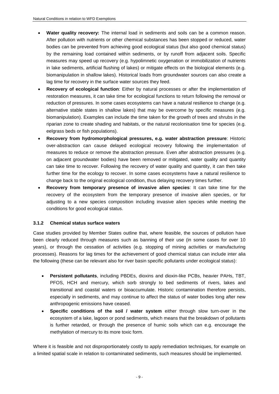- **Water quality recovery:** The internal load in sediments and soils can be a common reason. After pollution with nutrients or other chemical substances has been stopped or reduced, water bodies can be prevented from achieving good ecological status (but also good chemical status) by the remaining load contained within sediments, or by runoff from adjacent soils. Specific measures may speed up recovery (e.g. hypolimnetic oxygenation or immobilization of nutrients in lake sediments, artificial flushing of lakes) or mitigate effects on the biological elements (e.g. biomanipulation in shallow lakes). Historical loads from groundwater sources can also create a lag time for recovery in the surface water sources they feed.
- **Recovery of ecological function**: Either by natural processes or after the implementation of restoration measures, it can take time for ecological functions to return following the removal or reduction of pressures. In some cases ecosystems can have a natural resilience to change (e.g. alternative stable states in shallow lakes) that may be overcome by specific measures (e.g. biomanipulation). Examples can include the time taken for the growth of trees and shrubs in the riparian zone to create shading and habitats, or the natural recolonisation time for species (e.g. eelgrass beds or fish populations).
- **Recovery from hydromorphological pressures, e.g. water abstraction pressure**: Historic over-abstraction can cause delayed ecological recovery following the implementation of measures to reduce or remove the abstraction pressure. Even after abstraction pressures (e.g. on adjacent groundwater bodies) have been removed or mitigated, water quality and quantity can take time to recover. Following the recovery of water quality and quantity, it can then take further time for the ecology to recover. In some cases ecosystems have a natural resilience to change back to the original ecological condition, thus delaying recovery times further.
- **Recovery from temporary presence of invasive alien species**: It can take time for the recovery of the ecosystem from the temporary presence of invasive alien species, or for adjusting to a new species composition including invasive alien species while meeting the conditions for good ecological status.

#### <span id="page-8-0"></span>**3.1.2 Chemical status surface waters**

Case studies provided by Member States outline that, where feasible, the sources of pollution have been clearly reduced through measures such as banning of their use (in some cases for over 10 years), or through the cessation of activities (e.g. stopping of mining activities or manufacturing processes). Reasons for lag times for the achievement of good chemical status can include inter alia the following (these can be relevant also for river basin specific pollutants under ecological status):

- **Persistent pollutants**, including PBDEs, dioxins and dioxin-like PCBs, heavier PAHs, TBT, PFOS, HCH and mercury, which sorb strongly to bed sediments of rivers, lakes and transitional and coastal waters or bioaccumulate. Historic contamination therefore persists, especially in sediments, and may continue to affect the status of water bodies long after new anthropogenic emissions have ceased.
- **Specific conditions of the soil / water system** either through slow turn-over in the ecosystem of a lake, lagoon or pond sediments, which means that the breakdown of pollutants is further retarded, or through the presence of humic soils which can e.g. encourage the methylation of mercury to its more toxic form.

Where it is feasible and not disproportionately costly to apply remediation techniques, for example on a limited spatial scale in relation to contaminated sediments, such measures should be implemented.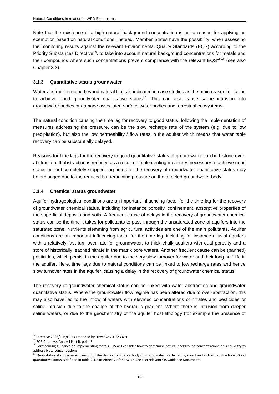Note that the existence of a high natural background concentration is not a reason for applying an exemption based on natural conditions. Instead, Member States have the possibility, when assessing the monitoring results against the relevant Environmental Quality Standards (EQS) according to the Priority Substances Directive<sup>14</sup>, to take into account natural background concentrations for metals and their compounds where such concentrations prevent compliance with the relevant  $EQS^{15,16}$  (see also Chapter [3.3\)](#page-10-1).

#### <span id="page-9-0"></span>**3.1.3 Quantitative status groundwater**

Water abstraction going beyond natural limits is indicated in case studies as the main reason for failing to achieve good groundwater quantitative status<sup>17</sup>. This can also cause saline intrusion into groundwater bodies or damage associated surface water bodies and terrestrial ecosystems.

The natural condition causing the time lag for recovery to good status, following the implementation of measures addressing the pressure, can be the slow recharge rate of the system (e.g. due to low precipitation), but also the low permeability / flow rates in the aquifer which means that water table recovery can be substantially delayed.

Reasons for time lags for the recovery to good quantitative status of groundwater can be historic overabstraction. If abstraction is reduced as a result of implementing measures necessary to achieve good status but not completely stopped, lag times for the recovery of groundwater quantitative status may be prolonged due to the reduced but remaining pressure on the affected groundwater body.

#### <span id="page-9-1"></span>**3.1.4 Chemical status groundwater**

Aquifer hydrogeological conditions are an important influencing factor for the time lag for the recovery of groundwater chemical status, including for instance porosity, confinement, absorptive properties of the superficial deposits and soils. A frequent cause of delays in the recovery of groundwater chemical status can be the time it takes for pollutants to pass through the unsaturated zone of aquifers into the saturated zone. Nutrients stemming from agricultural activities are one of the main pollutants. Aquifer conditions are an important influencing factor for the time lag, including for instance alluvial aquifers with a relatively fast turn-over rate for groundwater, to thick chalk aquifers with dual porosity and a store of historically leached nitrate in the matrix pore waters. Another frequent cause can be (banned) pesticides, which persist in the aquifer due to the very slow turnover for water and their long half-life in the aquifer. Here, time lags due to natural conditions can be linked to low recharge rates and hence slow turnover rates in the aquifer, causing a delay in the recovery of groundwater chemical status.

The recovery of groundwater chemical status can be linked with water abstraction and groundwater quantitative status. Where the groundwater flow regime has been altered due to over-abstraction, this may also have led to the inflow of waters with elevated concentrations of nitrates and pesticides or saline intrusion due to the change of the hydraulic gradient. Where there is intrusion from deeper saline waters, or due to the geochemistry of the aquifer host lithology (for example the presence of

-

 $14$  Directive 2008/105/EC as amended by Directive 2013/39/EU

<sup>&</sup>lt;sup>15</sup> EQS Directive, Annex I Part B, point 3

<sup>&</sup>lt;sup>16</sup> Forthcoming guidance on implementing metals EQS will consider how to determine natural background concentrations; this could try to address biota concentrations.

<sup>&</sup>lt;sup>17</sup> Quantitative status is an expression of the degree to which a body of groundwater is affected by direct and indirect abstractions. Good quantitative status is defined in table 2.1.2 of Annex V of the WFD. See also relevant CIS Guidance Documents.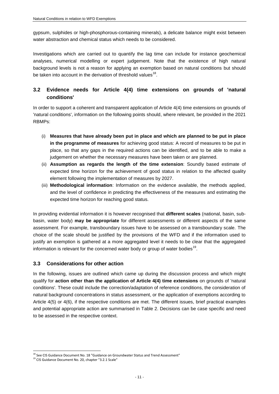gypsum, sulphides or high-phosphorous-containing minerals), a delicate balance might exist between water abstraction and chemical status which needs to be considered.

Investigations which are carried out to quantify the lag time can include for instance geochemical analyses, numerical modelling or expert judgement. Note that the existence of high natural background levels is not a reason for applying an exemption based on natural conditions but should be taken into account in the derivation of threshold values<sup>18</sup>.

# <span id="page-10-0"></span>**3.2 Evidence needs for Article 4(4) time extensions on grounds of 'natural conditions'**

In order to support a coherent and transparent application of Article 4(4) time extensions on grounds of 'natural conditions', information on the following points should, where relevant, be provided in the 2021 RBMPs:

- (i) **Measures that have already been put in place and which are planned to be put in place in the programme of measures** for achieving good status: A record of measures to be put in place, so that any gaps in the required actions can be identified, and to be able to make a judgement on whether the necessary measures have been taken or are planned.
- (ii) **Assumption as regards the length of the time extension**: Soundly based estimate of expected time horizon for the achievement of good status in relation to the affected quality element following the implementation of measures by 2027.
- (iii) **Methodological information**: Information on the evidence available, the methods applied, and the level of confidence in predicting the effectiveness of the measures and estimating the expected time horizon for reaching good status.

In providing evidential information it is however recognised that **different scales** (national, basin, subbasin, water body) **may be appropriate** for different assessments or different aspects of the same assessment. For example, transboundary issues have to be assessed on a transboundary scale. The choice of the scale should be justified by the provisions of the WFD and if the information used to justify an exemption is gathered at a more aggregated level it needs to be clear that the aggregated information is relevant for the concerned water body or group of water bodies<sup>19</sup>.

## <span id="page-10-1"></span>**3.3 Considerations for other action**

In the following, issues are outlined which came up during the discussion process and which might qualify for **action other than the application of Article 4(4) time extensions** on grounds of 'natural conditions'. These could include the correction/adaptation of reference conditions, the consideration of natural background concentrations in status assessment, or the application of exemptions according to Article 4(5) or 4(6), if the respective conditions are met. The different issues, brief practical examples and potential appropriate action are summarised in [Table 2.](#page-11-0) Decisions can be case specific and need to be assessed in the respective context.

<sup>&</sup>lt;sup>18</sup> See CIS Guidance Document No. 18 "Guidance on Groundwater Status and Trend Assessment"

<sup>19</sup> CIS Guidance Document No. 20, chapter "3.2.1 Scale"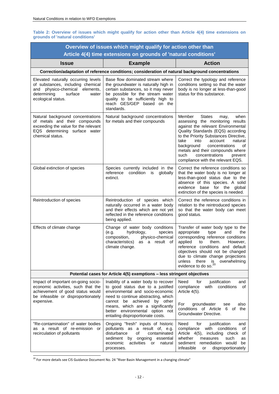#### <span id="page-11-0"></span>**Table 2: Overview of issues which might qualify for action other than Article 4(4) time extensions on grounds of 'natural conditions'**

| Overview of issues which might qualify for action other than<br>Article 4(4) time extensions on grounds of 'natural conditions'                                        |                                                                                                                                                                                                                                                                                                 |                                                                                                                                                                                                                                                                                                                                                                                           |  |  |  |  |  |
|------------------------------------------------------------------------------------------------------------------------------------------------------------------------|-------------------------------------------------------------------------------------------------------------------------------------------------------------------------------------------------------------------------------------------------------------------------------------------------|-------------------------------------------------------------------------------------------------------------------------------------------------------------------------------------------------------------------------------------------------------------------------------------------------------------------------------------------------------------------------------------------|--|--|--|--|--|
| <b>Issue</b>                                                                                                                                                           | <b>Example</b>                                                                                                                                                                                                                                                                                  | <b>Action</b>                                                                                                                                                                                                                                                                                                                                                                             |  |  |  |  |  |
| Correction/adaptation of reference conditions; consideration of natural background concentrations                                                                      |                                                                                                                                                                                                                                                                                                 |                                                                                                                                                                                                                                                                                                                                                                                           |  |  |  |  |  |
| Elevated naturally occurring levels<br>of substances, including chemical<br>physico-chemical elements,<br>and<br>determining<br>surface<br>water<br>ecological status. | Base flow dominated stream where<br>the groundwater is naturally high in<br>certain substances, so it may never<br>be possible for the stream water<br>quality to be sufficiently high to<br>reach GES/GEP based on the<br>standards.                                                           | Correct the typology and reference<br>conditions setting so that the water<br>body is no longer at less-than-good<br>status for this substance.                                                                                                                                                                                                                                           |  |  |  |  |  |
| Natural background concentrations<br>of metals and their compounds<br>exceeding the value for the relevant<br>EQS determining surface water<br>chemical status.        | Natural background concentrations<br>for metals and their compounds                                                                                                                                                                                                                             | Member<br><b>States</b><br>when<br>may,<br>assessing the monitoring results<br>against the relevant Environmental<br>Quality Standards (EQS) according<br>to the Priority Substances Directive,<br>take<br>natural<br>into<br>account<br>background<br>concentrations<br>of<br>metals and their compounds where<br>such<br>concentrations<br>prevent<br>compliance with the relevant EQS. |  |  |  |  |  |
| Global extinction of species                                                                                                                                           | Species currently included in the<br>reference<br>condition<br>is<br>globally<br>extinct.                                                                                                                                                                                                       | Correct the reference conditions so<br>that the water body is no longer at<br>less-than-good status due to the<br>absence of this species. A solid<br>evidence base for the global<br>extinction of the species is needed.                                                                                                                                                                |  |  |  |  |  |
| Reintroduction of species                                                                                                                                              | Reintroduction of species which<br>naturally occurred in a water body<br>and their effects which are not yet<br>reflected in the reference conditions<br>being applied.                                                                                                                         | Correct the reference conditions in<br>relation to the reintroduced species<br>so that the water body can meet<br>good status.                                                                                                                                                                                                                                                            |  |  |  |  |  |
| Effects of climate change                                                                                                                                              | Change of water body conditions<br>hydrology,<br>(e.g.<br>species<br>composition,<br>physico-chemical<br>characteristics) as a result of<br>climate change.                                                                                                                                     | Transfer of water body type to the<br>appropriate<br>type<br>and<br>the<br>corresponding reference conditions<br>applied<br>them.<br>However,<br>to<br>reference conditions and default<br>objectives should not be changed<br>due to climate change projections<br>there<br>overwhelming<br>unless<br>is<br>evidence to do so. <sup>20</sup>                                             |  |  |  |  |  |
|                                                                                                                                                                        | Potential cases for Article 4(5) exemptions - less stringent objectives                                                                                                                                                                                                                         |                                                                                                                                                                                                                                                                                                                                                                                           |  |  |  |  |  |
| Impact of important on-going socio-<br>economic activities, such that the<br>achievement of good status would<br>be infeasible or disproportionately<br>expensive.     | Inability of a water body to recover<br>to good status due to a justified<br>environmental and socio-economic<br>need to continue abstracting, which<br>cannot be achieved by other<br>means, which are a significantly<br>better environmental option not<br>entailing disproportionate costs. | Need<br>for<br>justification<br>and<br>compliance<br>with<br>conditions<br>of<br>Article 4(5).<br>For<br>groundwater<br>also<br>see<br>conditions of Article<br>6 of the<br>Groundwater Directive.                                                                                                                                                                                        |  |  |  |  |  |
| "Re-contamination" of water bodies<br>as a result of re-emission or<br>recirculation of pollutants                                                                     | Ongoing "fresh" inputs of historic<br>pollutants as a result of, e.g.<br>disturbance<br>of<br>contaminated<br>sediment<br>by ongoing<br>essential<br>activities<br>economic<br>or -<br>natural<br>processes.                                                                                    | Need<br>for<br>justification<br>and<br>compliance<br>conditions<br>with<br>οf<br>Article 4(5),<br>including check<br>οf<br>whether<br>measures<br>such<br>as<br>sediment<br>remediation would<br>be<br>infeasible<br>disproportionately<br>or                                                                                                                                             |  |  |  |  |  |

<sup>20</sup> For more details see CIS Guidance Document No. 24 "River Basin Management in a changing climate"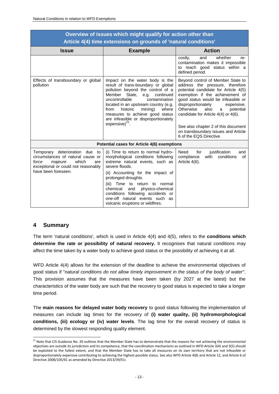| Overview of issues which might qualify for action other than<br>Article 4(4) time extensions on grounds of 'natural conditions'                                          |                                                                                                                                                                                                                                                                                                                                                                                   |                                                                                                                                                                                                                                                                                                                                                                                                                       |  |  |  |
|--------------------------------------------------------------------------------------------------------------------------------------------------------------------------|-----------------------------------------------------------------------------------------------------------------------------------------------------------------------------------------------------------------------------------------------------------------------------------------------------------------------------------------------------------------------------------|-----------------------------------------------------------------------------------------------------------------------------------------------------------------------------------------------------------------------------------------------------------------------------------------------------------------------------------------------------------------------------------------------------------------------|--|--|--|
| <b>Issue</b>                                                                                                                                                             | <b>Action</b>                                                                                                                                                                                                                                                                                                                                                                     |                                                                                                                                                                                                                                                                                                                                                                                                                       |  |  |  |
|                                                                                                                                                                          | <b>Example</b>                                                                                                                                                                                                                                                                                                                                                                    | whether<br>costly,<br>and<br>re-                                                                                                                                                                                                                                                                                                                                                                                      |  |  |  |
|                                                                                                                                                                          |                                                                                                                                                                                                                                                                                                                                                                                   | contamination makes it impossible<br>to reach good status within a<br>defined period.                                                                                                                                                                                                                                                                                                                                 |  |  |  |
| Effects of transboundary or global<br>pollution                                                                                                                          | Impact on the water body is the<br>result of trans-boundary or global<br>pollution beyond the control of a<br>Member State,<br>e.g.<br>continued<br>uncontrollable<br>contamination<br>located in an upstream country (e.g.<br>from<br>historic<br>mining)<br>where<br>measures to achieve good status<br>are infeasible or disproportionately<br>expensive) $^{21}$ .            | Beyond control of Member State to<br>address the pressure, therefore<br>potential candidate for Article 4(5)<br>exemption if the achievement of<br>good status would be infeasible or<br>disproportionately<br>expensive.<br>Otherwise<br>also<br>potential<br>a<br>candidate for Article $4(4)$ or $4(6)$ .<br>See also chapter 2 of this document<br>on transboundary issues and Article<br>6 of the EQS Directive. |  |  |  |
| Potential cases for Article 4(6) exemptions                                                                                                                              |                                                                                                                                                                                                                                                                                                                                                                                   |                                                                                                                                                                                                                                                                                                                                                                                                                       |  |  |  |
| Temporary deterioration due<br>to<br>circumstances of natural cause or<br>force<br>which<br>majeure<br>are<br>exceptional or could not reasonably<br>have been foreseen. | (i) Time to return to normal hydro-<br>morphological conditions following<br>extreme natural events, such as<br>severe floods.<br>(ii) Accounting for the impact of<br>prolonged droughts.<br>Time to return to normal<br>(iii)<br>chemical<br>and<br>physico-chemical<br>conditions following accidents or<br>one-off natural events such as<br>volcanic eruptions or wildfires. | justification<br>Need<br>for<br>and<br>compliance<br>with<br>conditions<br>of<br>Article 4(6).                                                                                                                                                                                                                                                                                                                        |  |  |  |

# **Overview of issues which might qualify for action other than**

# <span id="page-12-0"></span>**4 Summary**

1

The term 'natural conditions', which is used in Article 4(4) and 4(5), refers to the **conditions which determine the rate or possibility of natural recovery.** It recognises that natural conditions may affect the time taken by a water body to achieve good status or the possibility of achieving it at all.

WFD Article 4(4) allows for the extension of the deadline to achieve the environmental objectives of good status if "*natural conditions do not allow timely improvement in the status of the body of water*". This provision assumes that the measures have been taken (by 2027 at the latest) but the characteristics of the water body are such that the recovery to good status is expected to take a longer time period.

The **main reasons for delayed water body recovery** to good status following the implementation of measures can include lag times for the recovery of **(i) water quality, (ii) hydromorphological conditions, (iii) ecology or (iv) water levels**. The lag time for the overall recovery of status is determined by the slowest responding quality element.

 $^{21}$  Note that CIS Guidance No. 20 outlines that the Member State has to demonstrate that the reasons for not achieving the environmental objectives are outside its jurisdiction and its competence, that the coordination mechanisms as outlined in WFD Article 3(4) and 3(5) should be exploited to the fullest extent, and that the Member State has to take all measures on its own territory that are not infeasible or disproportionately expensive contributing to achieving the highest possible status. See also WFD Article 4(8) and Article 12, and Article 6 of Directive 2008/105/EC as amended by Directive 2013/39/EU.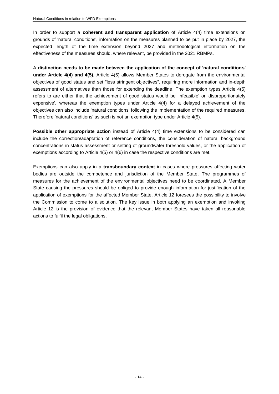In order to support a **coherent and transparent application** of Article 4(4) time extensions on grounds of 'natural conditions', information on the measures planned to be put in place by 2027, the expected length of the time extension beyond 2027 and methodological information on the effectiveness of the measures should, where relevant, be provided in the 2021 RBMPs.

A **distinction needs to be made between the application of the concept of 'natural conditions' under Article 4(4) and 4(5).** Article 4(5) allows Member States to derogate from the environmental objectives of good status and set "less stringent objectives", requiring more information and in-depth assessment of alternatives than those for extending the deadline. The exemption types Article 4(5) refers to are either that the achievement of good status would be 'infeasible' or 'disproportionately expensive', whereas the exemption types under Article 4(4) for a delayed achievement of the objectives can also include 'natural conditions' following the implementation of the required measures. Therefore 'natural conditions' as such is not an exemption type under Article 4(5).

**Possible other appropriate action** instead of Article 4(4) time extensions to be considered can include the correction/adaptation of reference conditions, the consideration of natural background concentrations in status assessment or setting of groundwater threshold values, or the application of exemptions according to Article 4(5) or 4(6) in case the respective conditions are met.

Exemptions can also apply in a **transboundary context** in cases where pressures affecting water bodies are outside the competence and jurisdiction of the Member State. The programmes of measures for the achievement of the environmental objectives need to be coordinated. A Member State causing the pressures should be obliged to provide enough information for justification of the application of exemptions for the affected Member State. Article 12 foresees the possibility to involve the Commission to come to a solution. The key issue in both applying an exemption and invoking Article 12 is the provision of evidence that the relevant Member States have taken all reasonable actions to fulfil the legal obligations.